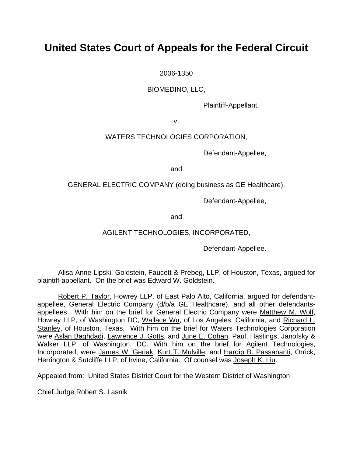# **United States Court of Appeals for the Federal Circuit**

2006-1350

BIOMEDINO, LLC,

Plaintiff-Appellant,

v.

### WATERS TECHNOLOGIES CORPORATION,

Defendant-Appellee,

and

GENERAL ELECTRIC COMPANY (doing business as GE Healthcare),

Defendant-Appellee,

and

### AGILENT TECHNOLOGIES, INCORPORATED,

Defendant-Appellee.

Alisa Anne Lipski, Goldstein, Faucett & Prebeg, LLP, of Houston, Texas, argued for plaintiff-appellant. On the brief was Edward W. Goldstein.

Robert P. Taylor, Howrey LLP, of East Palo Alto, California, argued for defendantappellee, General Electric Company (d/b/a GE Healthcare), and all other defendantsappellees. With him on the brief for General Electric Company were Matthew M. Wolf, Howrey LLP, of Washington DC, Wallace Wu, of Los Angeles, California, and Richard L. Stanley, of Houston, Texas. With him on the brief for Waters Technologies Corporation were Aslan Baghdadi, Lawrence J. Gotts, and June E. Cohan, Paul, Hastings, Janofsky & Walker LLP, of Washington, DC. With him on the brief for Agilent Technologies, Incorporated, were James W. Geriak, Kurt T. Mulville, and Hardip B. Passananti, Orrick, Herrington & Sutcliffe LLP, of Irvine, California. Of counsel was Joseph K. Liu.

Appealed from: United States District Court for the Western District of Washington

Chief Judge Robert S. Lasnik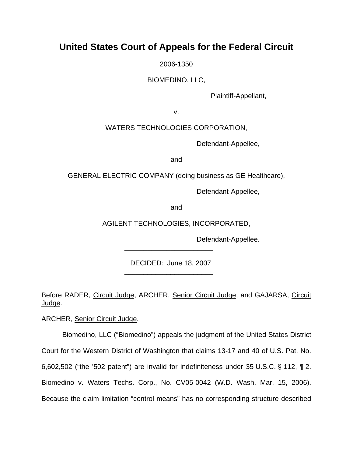## **United States Court of Appeals for the Federal Circuit**

2006-1350

BIOMEDINO, LLC,

Plaintiff-Appellant,

v.

### WATERS TECHNOLOGIES CORPORATION,

Defendant-Appellee,

and

GENERAL ELECTRIC COMPANY (doing business as GE Healthcare),

Defendant-Appellee,

and

AGILENT TECHNOLOGIES, INCORPORATED,

Defendant-Appellee.

DECIDED: June 18, 2007

 $\frac{1}{\sqrt{2}}$  ,  $\frac{1}{\sqrt{2}}$  ,  $\frac{1}{\sqrt{2}}$  ,  $\frac{1}{\sqrt{2}}$  ,  $\frac{1}{\sqrt{2}}$  ,  $\frac{1}{\sqrt{2}}$  ,  $\frac{1}{\sqrt{2}}$  ,  $\frac{1}{\sqrt{2}}$  ,  $\frac{1}{\sqrt{2}}$  ,  $\frac{1}{\sqrt{2}}$  ,  $\frac{1}{\sqrt{2}}$  ,  $\frac{1}{\sqrt{2}}$  ,  $\frac{1}{\sqrt{2}}$  ,  $\frac{1}{\sqrt{2}}$  ,  $\frac{1}{\sqrt{2}}$ 

\_\_\_\_\_\_\_\_\_\_\_\_\_\_\_\_\_\_\_\_\_\_\_

Before RADER, Circuit Judge, ARCHER, Senior Circuit Judge, and GAJARSA, Circuit Judge.

ARCHER, Senior Circuit Judge.

 Biomedino, LLC ("Biomedino") appeals the judgment of the United States District Court for the Western District of Washington that claims 13-17 and 40 of U.S. Pat. No. 6,602,502 ("the '502 patent") are invalid for indefiniteness under 35 U.S.C. § 112, ¶ 2. Biomedino v. Waters Techs. Corp., No. CV05-0042 (W.D. Wash. Mar. 15, 2006). Because the claim limitation "control means" has no corresponding structure described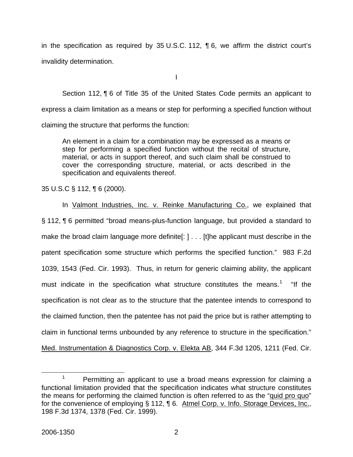in the specification as required by 35 U.S.C. 112, ¶ 6, we affirm the district court's invalidity determination.

I

 Section 112, ¶ 6 of Title 35 of the United States Code permits an applicant to express a claim limitation as a means or step for performing a specified function without claiming the structure that performs the function:

An element in a claim for a combination may be expressed as a means or step for performing a specified function without the recital of structure, material, or acts in support thereof, and such claim shall be construed to cover the corresponding structure, material, or acts described in the specification and equivalents thereof.

35 U.S.C § 112, ¶ 6 (2000).

In Valmont Industries, Inc. v. Reinke Manufacturing Co., we explained that

§ 112, ¶ 6 permitted "broad means-plus-function language, but provided a standard to make the broad claim language more definite[: ] . . . [t]he applicant must describe in the patent specification some structure which performs the specified function." 983 F.2d 1039, 1543 (Fed. Cir. 1993). Thus, in return for generic claiming ability, the applicant must indicate in the specification what structure constitutes the means.<sup>[1](#page-2-0)</sup> "If the specification is not clear as to the structure that the patentee intends to correspond to the claimed function, then the patentee has not paid the price but is rather attempting to claim in functional terms unbounded by any reference to structure in the specification." Med. Instrumentation & Diagnostics Corp. v. Elekta AB, 344 F.3d 1205, 1211 (Fed. Cir.

<span id="page-2-0"></span> <sup>1</sup> Permitting an applicant to use a broad means expression for claiming a functional limitation provided that the specification indicates what structure constitutes the means for performing the claimed function is often referred to as the "quid pro quo" for the convenience of employing § 112, ¶ 6. Atmel Corp. v. Info. Storage Devices, Inc., 198 F.3d 1374, 1378 (Fed. Cir. 1999).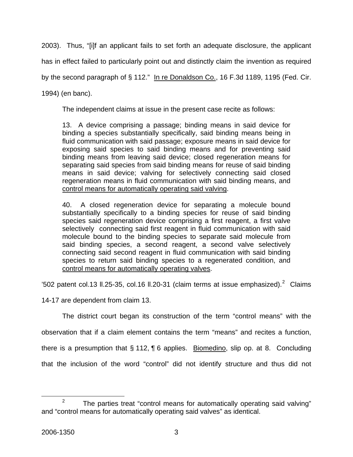2003). Thus, "[i]f an applicant fails to set forth an adequate disclosure, the applicant

has in effect failed to particularly point out and distinctly claim the invention as required

by the second paragraph of § 112." In re Donaldson Co., 16 F.3d 1189, 1195 (Fed. Cir.

1994) (en banc).

The independent claims at issue in the present case recite as follows:

13. A device comprising a passage; binding means in said device for binding a species substantially specifically, said binding means being in fluid communication with said passage; exposure means in said device for exposing said species to said binding means and for preventing said binding means from leaving said device; closed regeneration means for separating said species from said binding means for reuse of said binding means in said device; valving for selectively connecting said closed regeneration means in fluid communication with said binding means, and control means for automatically operating said valving.

40. A closed regeneration device for separating a molecule bound substantially specifically to a binding species for reuse of said binding species said regeneration device comprising a first reagent, a first valve selectively connecting said first reagent in fluid communication with said molecule bound to the binding species to separate said molecule from said binding species, a second reagent, a second valve selectively connecting said second reagent in fluid communication with said binding species to return said binding species to a regenerated condition, and control means for automatically operating valves.

'50[2](#page-3-0) patent col.13 II.25-35, col.16 II.20-31 (claim terms at issue emphasized).<sup>2</sup> Claims

14-17 are dependent from claim 13.

The district court began its construction of the term "control means" with the observation that if a claim element contains the term "means" and recites a function, there is a presumption that  $\S 112$ ,  $\P 6$  applies. Biomedino, slip op. at 8. Concluding that the inclusion of the word "control" did not identify structure and thus did not

<span id="page-3-0"></span> $\frac{1}{2}$  $2^2$  The parties treat "control means for automatically operating said valving" and "control means for automatically operating said valves" as identical.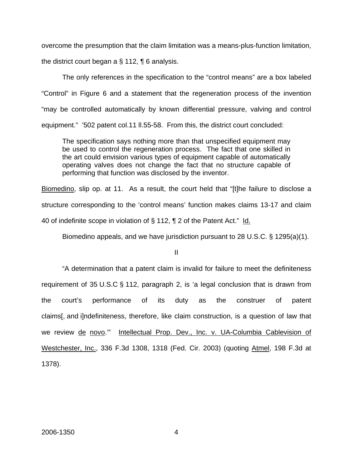overcome the presumption that the claim limitation was a means-plus-function limitation,

the district court began a § 112, ¶ 6 analysis.

 The only references in the specification to the "control means" are a box labeled "Control" in Figure 6 and a statement that the regeneration process of the invention "may be controlled automatically by known differential pressure, valving and control equipment." '502 patent col.11 ll.55-58. From this, the district court concluded:

The specification says nothing more than that unspecified equipment may be used to control the regeneration process. The fact that one skilled in the art could envision various types of equipment capable of automatically operating valves does not change the fact that no structure capable of performing that function was disclosed by the inventor.

Biomedino, slip op. at 11. As a result, the court held that "[t]he failure to disclose a structure corresponding to the 'control means' function makes claims 13-17 and claim 40 of indefinite scope in violation of § 112, ¶ 2 of the Patent Act." Id.

Biomedino appeals, and we have jurisdiction pursuant to 28 U.S.C. § 1295(a)(1).

II

 "A determination that a patent claim is invalid for failure to meet the definiteness requirement of 35 U.S.C § 112, paragraph 2, is 'a legal conclusion that is drawn from the court's performance of its duty as the construer of patent claims[, and i]ndefiniteness, therefore, like claim construction, is a question of law that we review de novo."" Intellectual Prop. Dev., Inc. v. UA-Columbia Cablevision of Westchester, Inc., 336 F.3d 1308, 1318 (Fed. Cir. 2003) (quoting Atmel, 198 F.3d at 1378).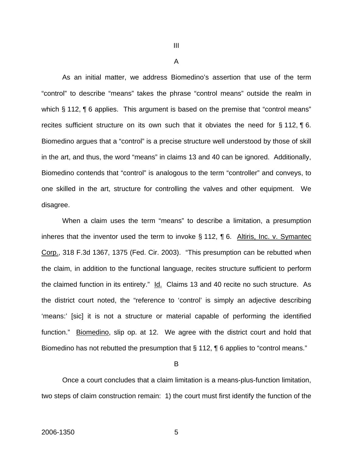III

A

 As an initial matter, we address Biomedino's assertion that use of the term "control" to describe "means" takes the phrase "control means" outside the realm in which § 112, ¶ 6 applies. This argument is based on the premise that "control means" recites sufficient structure on its own such that it obviates the need for § 112, ¶ 6. Biomedino argues that a "control" is a precise structure well understood by those of skill in the art, and thus, the word "means" in claims 13 and 40 can be ignored. Additionally, Biomedino contends that "control" is analogous to the term "controller" and conveys, to one skilled in the art, structure for controlling the valves and other equipment.We disagree.

When a claim uses the term "means" to describe a limitation, a presumption inheres that the inventor used the term to invoke  $\S 112$ ,  $\P 6$ . Altiris, Inc. v. Symantec Corp., 318 F.3d 1367, 1375 (Fed. Cir. 2003). "This presumption can be rebutted when the claim, in addition to the functional language, recites structure sufficient to perform the claimed function in its entirety." Id. Claims 13 and 40 recite no such structure. As the district court noted, the "reference to 'control' is simply an adjective describing 'means:' [sic] it is not a structure or material capable of performing the identified function." **Biomedino**, slip op. at 12. We agree with the district court and hold that Biomedino has not rebutted the presumption that § 112, ¶ 6 applies to "control means."

B

 Once a court concludes that a claim limitation is a means-plus-function limitation, two steps of claim construction remain: 1) the court must first identify the function of the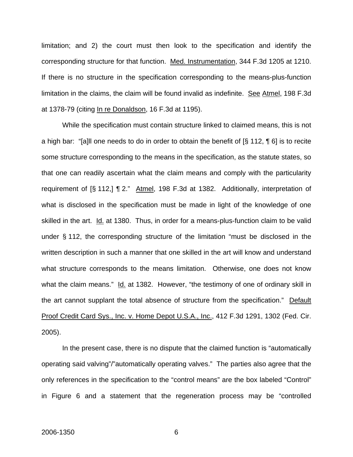limitation; and 2) the court must then look to the specification and identify the corresponding structure for that function. Med. Instrumentation, 344 F.3d 1205 at 1210. If there is no structure in the specification corresponding to the means-plus-function limitation in the claims, the claim will be found invalid as indefinite. See Atmel, 198 F.3d at 1378-79 (citing In re Donaldson, 16 F.3d at 1195).

 While the specification must contain structure linked to claimed means, this is not a high bar: "[a]ll one needs to do in order to obtain the benefit of [§ 112, ¶ 6] is to recite some structure corresponding to the means in the specification, as the statute states, so that one can readily ascertain what the claim means and comply with the particularity requirement of [§ 112,] ¶ 2." Atmel, 198 F.3d at 1382. Additionally, interpretation of what is disclosed in the specification must be made in light of the knowledge of one skilled in the art. Id. at 1380. Thus, in order for a means-plus-function claim to be valid under § 112, the corresponding structure of the limitation "must be disclosed in the written description in such a manner that one skilled in the art will know and understand what structure corresponds to the means limitation. Otherwise, one does not know what the claim means." Id. at 1382. However, "the testimony of one of ordinary skill in the art cannot supplant the total absence of structure from the specification." Default Proof Credit Card Sys., Inc. v. Home Depot U.S.A., Inc., 412 F.3d 1291, 1302 (Fed. Cir. 2005).

 In the present case, there is no dispute that the claimed function is "automatically operating said valving"/"automatically operating valves." The parties also agree that the only references in the specification to the "control means" are the box labeled "Control" in Figure 6 and a statement that the regeneration process may be "controlled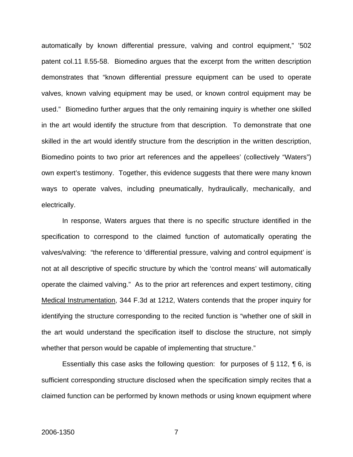automatically by known differential pressure, valving and control equipment," '502 patent col.11 ll.55-58. Biomedino argues that the excerpt from the written description demonstrates that "known differential pressure equipment can be used to operate valves, known valving equipment may be used, or known control equipment may be used." Biomedino further argues that the only remaining inquiry is whether one skilled in the art would identify the structure from that description. To demonstrate that one skilled in the art would identify structure from the description in the written description, Biomedino points to two prior art references and the appellees' (collectively "Waters") own expert's testimony. Together, this evidence suggests that there were many known ways to operate valves, including pneumatically, hydraulically, mechanically, and electrically.

 In response, Waters argues that there is no specific structure identified in the specification to correspond to the claimed function of automatically operating the valves/valving: "the reference to 'differential pressure, valving and control equipment' is not at all descriptive of specific structure by which the 'control means' will automatically operate the claimed valving." As to the prior art references and expert testimony, citing Medical Instrumentation, 344 F.3d at 1212, Waters contends that the proper inquiry for identifying the structure corresponding to the recited function is "whether one of skill in the art would understand the specification itself to disclose the structure, not simply whether that person would be capable of implementing that structure."

 Essentially this case asks the following question: for purposes of § 112, ¶ 6, is sufficient corresponding structure disclosed when the specification simply recites that a claimed function can be performed by known methods or using known equipment where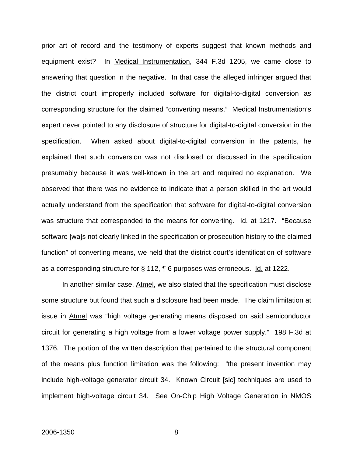prior art of record and the testimony of experts suggest that known methods and equipment exist? In Medical Instrumentation, 344 F.3d 1205, we came close to answering that question in the negative. In that case the alleged infringer argued that the district court improperly included software for digital-to-digital conversion as corresponding structure for the claimed "converting means." Medical Instrumentation's expert never pointed to any disclosure of structure for digital-to-digital conversion in the specification. When asked about digital-to-digital conversion in the patents, he explained that such conversion was not disclosed or discussed in the specification presumably because it was well-known in the art and required no explanation. We observed that there was no evidence to indicate that a person skilled in the art would actually understand from the specification that software for digital-to-digital conversion was structure that corresponded to the means for converting. Id. at 1217. "Because software [wa]s not clearly linked in the specification or prosecution history to the claimed function" of converting means, we held that the district court's identification of software as a corresponding structure for § 112, ¶ 6 purposes was erroneous. Id. at 1222.

In another similar case, Atmel, we also stated that the specification must disclose some structure but found that such a disclosure had been made. The claim limitation at issue in Atmel was "high voltage generating means disposed on said semiconductor circuit for generating a high voltage from a lower voltage power supply." 198 F.3d at 1376. The portion of the written description that pertained to the structural component of the means plus function limitation was the following: "the present invention may include high-voltage generator circuit 34. Known Circuit [sic] techniques are used to implement high-voltage circuit 34. See On-Chip High Voltage Generation in NMOS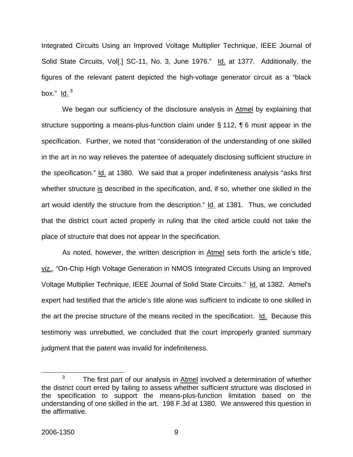Integrated Circuits Using an Improved Voltage Multiplier Technique, IEEE Journal of Solid State Circuits, Vol[.] SC-11, No. 3, June 1976." Id. at 1377. Additionally, the figures of the relevant patent depicted the high-voltage generator circuit as a "black box."  $Id.$ <sup>[3](#page-9-0)</sup>

We began our sufficiency of the disclosure analysis in Atmel by explaining that structure supporting a means-plus-function claim under § 112, ¶ 6 must appear in the specification. Further, we noted that "consideration of the understanding of one skilled in the art in no way relieves the patentee of adequately disclosing sufficient structure in the specification." Id. at 1380. We said that a proper indefiniteness analysis "asks first whether structure is described in the specification, and, if so, whether one skilled in the art would identify the structure from the description." Id. at 1381. Thus, we concluded that the district court acted properly in ruling that the cited article could not take the place of structure that does not appear in the specification.

As noted, however, the written description in Atmel sets forth the article's title, viz., "On-Chip High Voltage Generation in NMOS Integrated Circuits Using an Improved Voltage Multiplier Technique, IEEE Journal of Solid State Circuits." Id. at 1382. Atmel's expert had testified that the article's title alone was sufficient to indicate to one skilled in the art the precise structure of the means recited in the specification. Id. Because this testimony was unrebutted, we concluded that the court improperly granted summary judgment that the patent was invalid for indefiniteness.

<span id="page-9-0"></span> $\overline{\phantom{a}}$  3  $3$  The first part of our analysis in Atmel involved a determination of whether the district court erred by failing to assess whether sufficient structure was disclosed in the specification to support the means-plus-function limitation based on the understanding of one skilled in the art. 198 F.3d at 1380. We answered this question in the affirmative.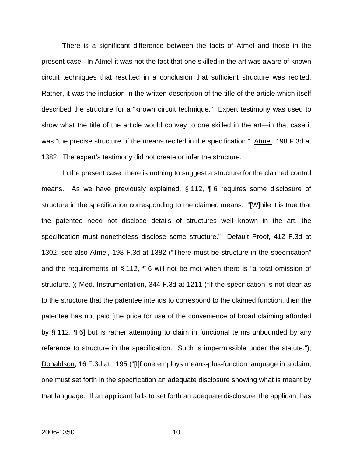There is a significant difference between the facts of Atmel and those in the present case. In Atmel it was not the fact that one skilled in the art was aware of known circuit techniques that resulted in a conclusion that sufficient structure was recited. Rather, it was the inclusion in the written description of the title of the article which itself described the structure for a "known circuit technique." Expert testimony was used to show what the title of the article would convey to one skilled in the art—in that case it was "the precise structure of the means recited in the specification." Atmel, 198 F.3d at 1382. The expert's testimony did not create or infer the structure.

In the present case, there is nothing to suggest a structure for the claimed control means. As we have previously explained, § 112, ¶ 6 requires some disclosure of structure in the specification corresponding to the claimed means. "[W]hile it is true that the patentee need not disclose details of structures well known in the art, the specification must nonetheless disclose some structure." Default Proof, 412 F.3d at 1302; see also Atmel, 198 F.3d at 1382 ("There must be structure in the specification" and the requirements of  $\S 112$ ,  $\P 6$  will not be met when there is "a total omission of structure."); Med. Instrumentation, 344 F.3d at 1211 ("If the specification is not clear as to the structure that the patentee intends to correspond to the claimed function, then the patentee has not paid [the price for use of the convenience of broad claiming afforded by § 112, ¶ 6] but is rather attempting to claim in functional terms unbounded by any reference to structure in the specification. Such is impermissible under the statute."); Donaldson, 16 F.3d at 1195 ("[I]f one employs means-plus-function language in a claim, one must set forth in the specification an adequate disclosure showing what is meant by that language. If an applicant fails to set forth an adequate disclosure, the applicant has